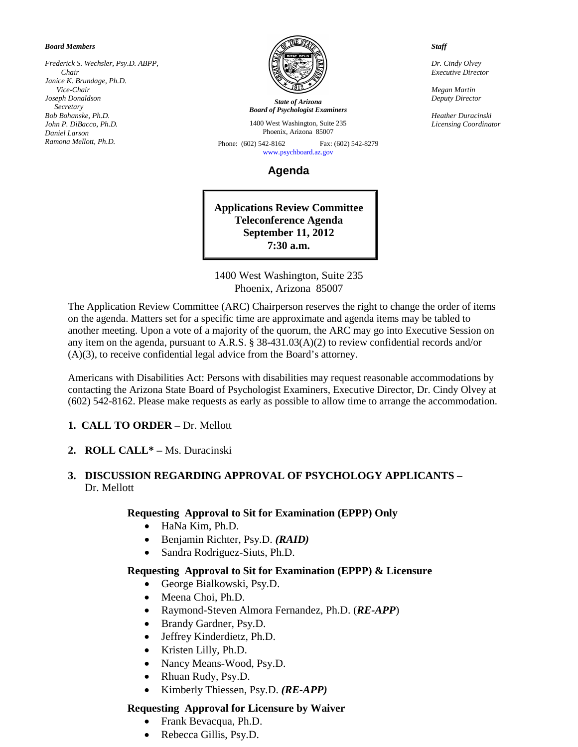#### *Board Members*

*Frederick S. Wechsler, Psy.D. ABPP, Chair Janice K. Brundage, Ph.D. Vice-Chair Joseph Donaldson Secretary Bob Bohanske, Ph.D. John P. DiBacco, Ph.D. Daniel Larson Ramona Mellott, Ph.D.*



*State of Arizona Board of Psychologist Examiners*

1400 West Washington, Suite 235 Phoenix, Arizona 85007

Phone: (602) 542-8162 Fax: (602) 542-8279 [www.psychboard.az.gov](http://www.psychboard.az.gov/) 

**Agenda**

**Applications Review Committee Teleconference Agenda September 11, 2012 7:30 a.m.**

1400 West Washington, Suite 235 Phoenix, Arizona 85007

The Application Review Committee (ARC) Chairperson reserves the right to change the order of items on the agenda. Matters set for a specific time are approximate and agenda items may be tabled to another meeting. Upon a vote of a majority of the quorum, the ARC may go into Executive Session on any item on the agenda, pursuant to A.R.S. § 38-431.03(A)(2) to review confidential records and/or (A)(3), to receive confidential legal advice from the Board's attorney.

Americans with Disabilities Act: Persons with disabilities may request reasonable accommodations by contacting the Arizona State Board of Psychologist Examiners, Executive Director, Dr. Cindy Olvey at (602) 542-8162. Please make requests as early as possible to allow time to arrange the accommodation.

**1. CALL TO ORDER –** Dr. Mellott

**2. ROLL CALL\* –** Ms. Duracinski

#### **3. DISCUSSION REGARDING APPROVAL OF PSYCHOLOGY APPLICANTS –** Dr. Mellott

#### **Requesting Approval to Sit for Examination (EPPP) Only**

- HaNa Kim, Ph.D.
- Benjamin Richter, Psy.D. *(RAID)*
- Sandra Rodriguez-Siuts, Ph.D.

#### **Requesting Approval to Sit for Examination (EPPP) & Licensure**

- George Bialkowski, Psy.D.
- Meena Choi, Ph.D.
- Raymond-Steven Almora Fernandez, Ph.D. (*RE-APP*)
- Brandy Gardner, Psy.D.
- Jeffrey Kinderdietz, Ph.D.
- Kristen Lilly, Ph.D.
- Nancy Means-Wood, Psy.D.
- Rhuan Rudy, Psy.D.
- Kimberly Thiessen, Psy.D. *(RE-APP)*

#### **Requesting Approval for Licensure by Waiver**

- Frank Bevacqua, Ph.D.
- Rebecca Gillis, Psy.D.

*Staff*

*Dr. Cindy Olvey Executive Director*

*Megan Martin Deputy Director*

*Heather Duracinski Licensing Coordinator*